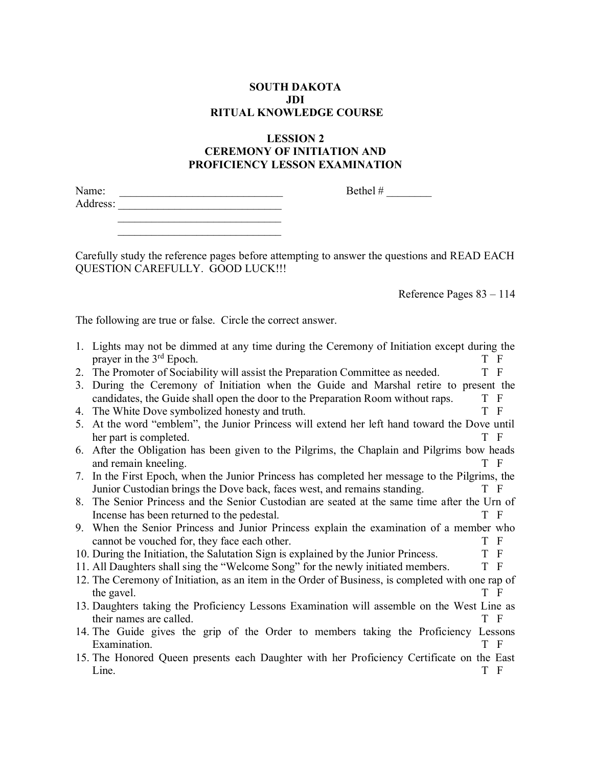## **SOUTH DAKOTA JDI RITUAL KNOWLEDGE COURSE**

## **LESSION 2 CEREMONY OF INITIATION AND PROFICIENCY LESSON EXAMINATION**

| Name:    | Bethel# |
|----------|---------|
| Address: |         |

Carefully study the reference pages before attempting to answer the questions and READ EACH QUESTION CAREFULLY. GOOD LUCK!!!

Reference Pages 83 – 114

The following are true or false. Circle the correct answer.

 \_\_\_\_\_\_\_\_\_\_\_\_\_\_\_\_\_\_\_\_\_\_\_\_\_\_\_\_\_  $\mathcal{L}=\mathcal{L}=\mathcal{L}=\mathcal{L}=\mathcal{L}=\mathcal{L}=\mathcal{L}=\mathcal{L}=\mathcal{L}=\mathcal{L}=\mathcal{L}=\mathcal{L}=\mathcal{L}=\mathcal{L}=\mathcal{L}=\mathcal{L}=\mathcal{L}=\mathcal{L}=\mathcal{L}=\mathcal{L}=\mathcal{L}=\mathcal{L}=\mathcal{L}=\mathcal{L}=\mathcal{L}=\mathcal{L}=\mathcal{L}=\mathcal{L}=\mathcal{L}=\mathcal{L}=\mathcal{L}=\mathcal{L}=\mathcal{L}=\mathcal{L}=\mathcal{L}=\mathcal{L}=\mathcal{$ 

|    | 1. Lights may not be dimmed at any time during the Ceremony of Initiation except during the<br>prayer in the 3 <sup>rd</sup> Epoch.<br>T F |
|----|--------------------------------------------------------------------------------------------------------------------------------------------|
|    | T F                                                                                                                                        |
| 2. | The Promoter of Sociability will assist the Preparation Committee as needed.                                                               |
| 3. | During the Ceremony of Initiation when the Guide and Marshal retire to present the                                                         |
|    | candidates, the Guide shall open the door to the Preparation Room without raps.<br>T F                                                     |
| 4. | T F<br>The White Dove symbolized honesty and truth.                                                                                        |
| 5. | At the word "emblem", the Junior Princess will extend her left hand toward the Dove until                                                  |
|    | her part is completed.<br>T F                                                                                                              |
|    | 6. After the Obligation has been given to the Pilgrims, the Chaplain and Pilgrims bow heads                                                |
|    | and remain kneeling.<br>T F                                                                                                                |
|    | 7. In the First Epoch, when the Junior Princess has completed her message to the Pilgrims, the                                             |
|    | Junior Custodian brings the Dove back, faces west, and remains standing.<br>T F                                                            |
|    | 8. The Senior Princess and the Senior Custodian are seated at the same time after the Urn of                                               |
|    | T F<br>Incense has been returned to the pedestal.                                                                                          |
|    | 9. When the Senior Princess and Junior Princess explain the examination of a member who                                                    |
|    | T F<br>cannot be vouched for, they face each other.                                                                                        |
|    | T F<br>10. During the Initiation, the Salutation Sign is explained by the Junior Princess.                                                 |
|    | T F<br>11. All Daughters shall sing the "Welcome Song" for the newly initiated members.                                                    |
|    |                                                                                                                                            |
|    | 12. The Ceremony of Initiation, as an item in the Order of Business, is completed with one rap of                                          |
|    | T F<br>the gavel.                                                                                                                          |
|    | 13. Daughters taking the Proficiency Lessons Examination will assemble on the West Line as                                                 |
|    | T F<br>their names are called.                                                                                                             |
|    | 14. The Guide gives the grip of the Order to members taking the Proficiency Lessons                                                        |
|    | Examination.<br>T F                                                                                                                        |
|    | 15. The Honored Queen presents each Daughter with her Proficiency Certificate on the East                                                  |
|    | Line.<br>T F                                                                                                                               |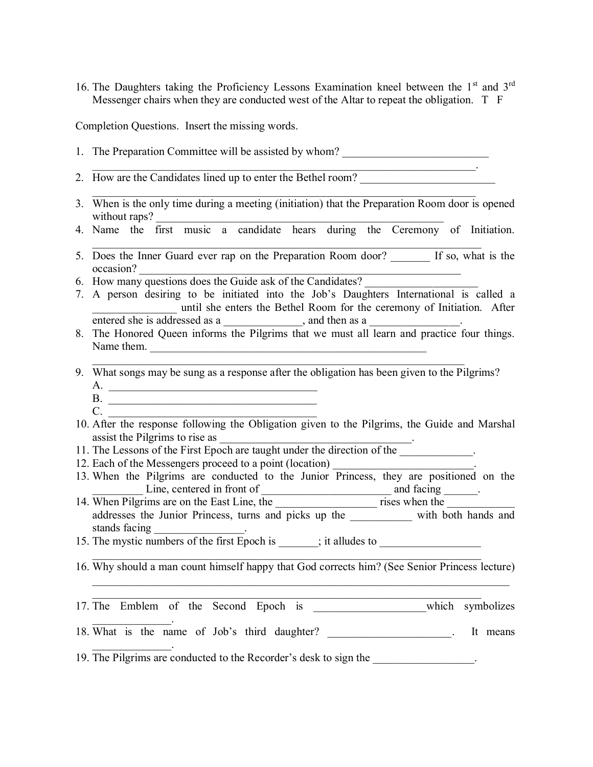16. The Daughters taking the Proficiency Lessons Examination kneel between the 1st and 3rd Messenger chairs when they are conducted west of the Altar to repeat the obligation. T F

Completion Questions. Insert the missing words.

- 1. The Preparation Committee will be assisted by whom?
- 2. How are the Candidates lined up to enter the Bethel room?
- 3. When is the only time during a meeting (initiation) that the Preparation Room door is opened without raps?

 $\mathcal{L}_\text{max}$  , and the contribution of the contribution of the contribution of the contribution of the contribution of the contribution of the contribution of the contribution of the contribution of the contribution of t

\_\_\_\_\_\_\_\_\_\_\_\_\_\_\_\_\_\_\_\_\_\_\_\_\_\_\_\_\_\_\_\_\_\_\_\_\_\_\_\_\_\_\_\_\_\_\_\_\_\_\_\_\_\_\_\_\_\_\_\_\_\_\_\_\_\_\_\_.

4. Name the first music a candidate hears during the Ceremony of Initiation.

 $\mathcal{L}_\text{max} = \mathcal{L}_\text{max} = \mathcal{L}_\text{max} = \mathcal{L}_\text{max} = \mathcal{L}_\text{max} = \mathcal{L}_\text{max} = \mathcal{L}_\text{max} = \mathcal{L}_\text{max} = \mathcal{L}_\text{max} = \mathcal{L}_\text{max} = \mathcal{L}_\text{max} = \mathcal{L}_\text{max} = \mathcal{L}_\text{max} = \mathcal{L}_\text{max} = \mathcal{L}_\text{max} = \mathcal{L}_\text{max} = \mathcal{L}_\text{max} = \mathcal{L}_\text{max} = \mathcal{$ 

- 5. Does the Inner Guard ever rap on the Preparation Room door? If so, what is the occasion?
- 6. How many questions does the Guide ask of the Candidates? \_\_\_\_\_\_\_\_\_\_\_\_\_\_\_\_\_\_\_\_
- 7. A person desiring to be initiated into the Job's Daughters International is called a \_\_\_\_\_\_\_\_\_\_\_\_\_\_\_ until she enters the Bethel Room for the ceremony of Initiation. After entered she is addressed as a \_\_\_\_\_\_\_\_\_\_\_\_\_\_, and then as a \_\_\_\_\_\_\_\_\_\_\_\_\_\_\_\_\_\_\_\_\_
- 8. The Honored Queen informs the Pilgrims that we must all learn and practice four things. Name them. \_\_\_\_\_\_\_\_\_\_\_\_\_\_\_\_\_\_\_\_\_\_\_\_\_\_\_\_\_\_\_\_\_\_\_\_\_\_\_\_\_\_\_\_\_\_\_\_\_
- 9. What songs may be sung as a response after the obligation has been given to the Pilgrims?  $A$ .

 $\mathcal{L}_\text{max}$  , and the contribution of the contribution of the contribution of the contribution of the contribution of the contribution of the contribution of the contribution of the contribution of the contribution of t

- B. \_\_\_\_\_\_\_\_\_\_\_\_\_\_\_\_\_\_\_\_\_\_\_\_\_\_\_\_\_\_\_\_\_\_\_\_\_  $C.$
- 10. After the response following the Obligation given to the Pilgrims, the Guide and Marshal assist the Pilgrims to rise as
- 11. The Lessons of the First Epoch are taught under the direction of the
- 12. Each of the Messengers proceed to a point (location)
- 13. When the Pilgrims are conducted to the Junior Princess, they are positioned on the Line, centered in front of and facing and facing the set of  $\alpha$
- 14. When Pilgrims are on the East Line, the \_\_\_\_\_\_\_\_\_\_\_\_\_\_\_\_\_\_ rises when the \_\_\_\_\_\_\_\_\_\_\_\_ addresses the Junior Princess, turns and picks up the with both hands and stands facing
- 15. The mystic numbers of the first Epoch is  $\frac{1}{\sqrt{1-\frac{1}{n}}}$ ; it alludes to  $\frac{1}{\sqrt{1-\frac{1}{n}}}$
- 16. Why should a man count himself happy that God corrects him? (See Senior Princess lecture)  $\mathcal{L}_\text{max} = \mathcal{L}_\text{max} = \mathcal{L}_\text{max} = \mathcal{L}_\text{max} = \mathcal{L}_\text{max} = \mathcal{L}_\text{max} = \mathcal{L}_\text{max} = \mathcal{L}_\text{max} = \mathcal{L}_\text{max} = \mathcal{L}_\text{max} = \mathcal{L}_\text{max} = \mathcal{L}_\text{max} = \mathcal{L}_\text{max} = \mathcal{L}_\text{max} = \mathcal{L}_\text{max} = \mathcal{L}_\text{max} = \mathcal{L}_\text{max} = \mathcal{L}_\text{max} = \mathcal{$

 $\mathcal{L}_\text{max}$  , and the contribution of the contribution of the contribution of the contribution of the contribution of the contribution of the contribution of the contribution of the contribution of the contribution of t

 $\mathcal{L}_\text{max} = \mathcal{L}_\text{max} = \mathcal{L}_\text{max} = \mathcal{L}_\text{max} = \mathcal{L}_\text{max} = \mathcal{L}_\text{max} = \mathcal{L}_\text{max} = \mathcal{L}_\text{max} = \mathcal{L}_\text{max} = \mathcal{L}_\text{max} = \mathcal{L}_\text{max} = \mathcal{L}_\text{max} = \mathcal{L}_\text{max} = \mathcal{L}_\text{max} = \mathcal{L}_\text{max} = \mathcal{L}_\text{max} = \mathcal{L}_\text{max} = \mathcal{L}_\text{max} = \mathcal{$ 

17. The Emblem of the Second Epoch is which symbolizes  $\mathcal{L}=\mathcal{L}^{\text{max}}$ 18. What is the name of Job's third daughter? The state of  $\sim$  1t means  $\mathcal{L}=\mathcal{L}^{\text{max}}$ 19. The Pilgrims are conducted to the Recorder's desk to sign the \_\_\_\_\_\_\_\_\_\_\_\_\_\_\_\_\_\_.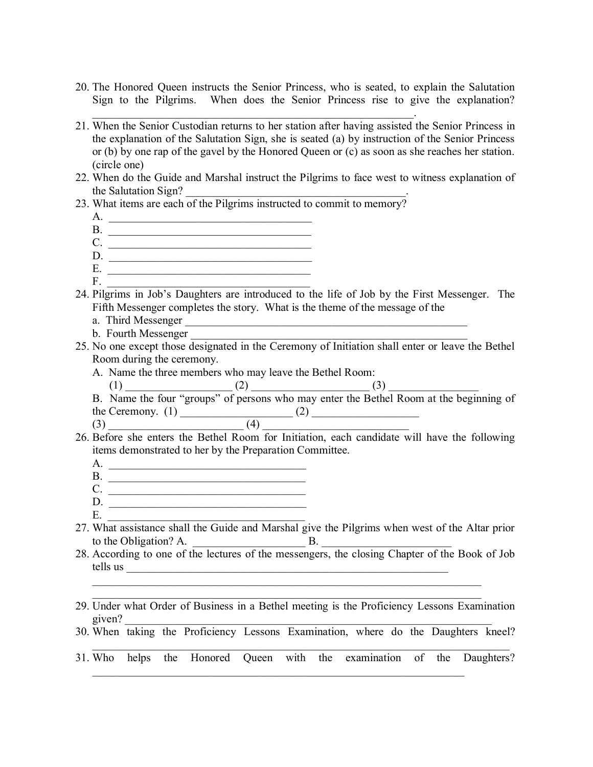- 20. The Honored Queen instructs the Senior Princess, who is seated, to explain the Salutation Sign to the Pilgrims. When does the Senior Princess rise to give the explanation?
- 21. When the Senior Custodian returns to her station after having assisted the Senior Princess in the explanation of the Salutation Sign, she is seated (a) by instruction of the Senior Princess or (b) by one rap of the gavel by the Honored Queen or (c) as soon as she reaches her station. (circle one)
- 22. When do the Guide and Marshal instruct the Pilgrims to face west to witness explanation of the Salutation Sign?
- 23. What items are each of the Pilgrims instructed to commit to memory?

 $\mathcal{L}_\text{max}$  , and the contract of the contract of the contract of the contract of the contract of the contract of

- A. \_\_\_\_\_\_\_\_\_\_\_\_\_\_\_\_\_\_\_\_\_\_\_\_\_\_\_\_\_\_\_\_\_\_\_\_
- B. \_\_\_\_\_\_\_\_\_\_\_\_\_\_\_\_\_\_\_\_\_\_\_\_\_\_\_\_\_\_\_\_\_\_\_\_ C. \_\_\_\_\_\_\_\_\_\_\_\_\_\_\_\_\_\_\_\_\_\_\_\_\_\_\_\_\_\_\_\_\_\_\_\_
- $D.$
- E. \_\_\_\_\_\_\_\_\_\_\_\_\_\_\_\_\_\_\_\_\_\_\_\_\_\_\_\_\_\_\_\_\_\_\_\_
- $F.$   $\qquad \qquad$
- 24. Pilgrims in Job's Daughters are introduced to the life of Job by the First Messenger. The Fifth Messenger completes the story. What is the theme of the message of the
	- a. Third Messenger
	- b. Fourth Messenger
- 25. No one except those designated in the Ceremony of Initiation shall enter or leave the Bethel Room during the ceremony.
	- A. Name the three members who may leave the Bethel Room:

 $(3)$   $(4)$ 

- (1) \_\_\_\_\_\_\_\_\_\_\_\_\_\_\_\_\_\_\_ (2) \_\_\_\_\_\_\_\_\_\_\_\_\_\_\_\_\_\_\_\_\_ (3) \_\_\_\_\_\_\_\_\_\_\_\_\_\_\_\_ B. Name the four "groups" of persons who may enter the Bethel Room at the beginning of the Ceremony. (1) \_\_\_\_\_\_\_\_\_\_\_\_\_\_\_\_\_\_\_\_ (2) \_\_\_\_\_\_\_\_\_\_\_\_\_\_\_\_\_\_\_
- 26. Before she enters the Bethel Room for Initiation, each candidate will have the following items demonstrated to her by the Preparation Committee.
	- $A$ .
	- B. \_\_\_\_\_\_\_\_\_\_\_\_\_\_\_\_\_\_\_\_\_\_\_\_\_\_\_\_\_\_\_\_\_\_\_ C. \_\_\_\_\_\_\_\_\_\_\_\_\_\_\_\_\_\_\_\_\_\_\_\_\_\_\_\_\_\_\_\_\_\_\_
	- $D.$
	- $E.$
- 27. What assistance shall the Guide and Marshal give the Pilgrims when west of the Altar prior to the Obligation? A.  $\qquad \qquad$  B.
- 28. According to one of the lectures of the messengers, the closing Chapter of the Book of Job tells us \_\_\_\_\_\_\_\_\_\_\_\_\_\_\_\_\_\_\_\_\_\_\_\_\_\_\_\_\_\_\_\_\_\_\_\_\_\_\_\_\_\_\_\_\_\_\_\_\_\_\_\_\_\_\_\_\_
- 29. Under what Order of Business in a Bethel meeting is the Proficiency Lessons Examination given?  $\Box$

 $\mathcal{L}_\text{max} = \mathcal{L}_\text{max} = \mathcal{L}_\text{max} = \mathcal{L}_\text{max} = \mathcal{L}_\text{max} = \mathcal{L}_\text{max} = \mathcal{L}_\text{max} = \mathcal{L}_\text{max} = \mathcal{L}_\text{max} = \mathcal{L}_\text{max} = \mathcal{L}_\text{max} = \mathcal{L}_\text{max} = \mathcal{L}_\text{max} = \mathcal{L}_\text{max} = \mathcal{L}_\text{max} = \mathcal{L}_\text{max} = \mathcal{L}_\text{max} = \mathcal{L}_\text{max} = \mathcal{$ 

- 30. When taking the Proficiency Lessons Examination, where do the Daughters kneel?  $\_$  , and the contribution of the contribution of the contribution of the contribution of  $\mathcal{L}_\text{max}$
- 31. Who helps the Honored Queen with the examination of the Daughters?  $\mathcal{L}_\text{max}$  , and the contribution of the contribution of the contribution of the contribution of the contribution of the contribution of the contribution of the contribution of the contribution of the contribution of t